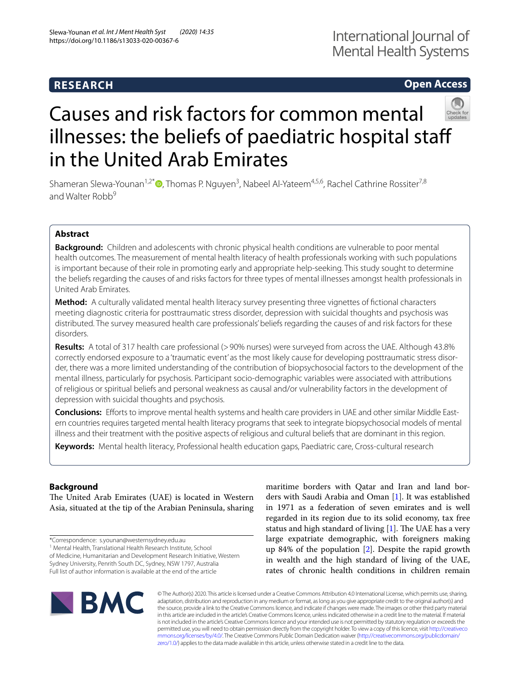# **RESEARCH**

# International Journal of Mental Health Systems

# **Open Access**



# Causes and risk factors for common mental illnesses: the beliefs of paediatric hospital staff in the United Arab Emirates

Shameran Slewa-Younan<sup>1[,](http://orcid.org/0000-0003-1556-5760)2\*</sup><sup>®</sup>, Thomas P. Nguyen<sup>3</sup>, Nabeel Al-Yateem<sup>4,5,6</sup>, Rachel Cathrine Rossiter<sup>7,8</sup> and Walter Robb<sup>9</sup>

# **Abstract**

**Background:** Children and adolescents with chronic physical health conditions are vulnerable to poor mental health outcomes. The measurement of mental health literacy of health professionals working with such populations is important because of their role in promoting early and appropriate help-seeking. This study sought to determine the beliefs regarding the causes of and risks factors for three types of mental illnesses amongst health professionals in United Arab Emirates.

**Method:** A culturally validated mental health literacy survey presenting three vignettes of fctional characters meeting diagnostic criteria for posttraumatic stress disorder, depression with suicidal thoughts and psychosis was distributed. The survey measured health care professionals' beliefs regarding the causes of and risk factors for these disorders.

Results: A total of 317 health care professional (>90% nurses) were surveyed from across the UAE. Although 43.8% correctly endorsed exposure to a 'traumatic event' as the most likely cause for developing posttraumatic stress disorder, there was a more limited understanding of the contribution of biopsychosocial factors to the development of the mental illness, particularly for psychosis. Participant socio-demographic variables were associated with attributions of religious or spiritual beliefs and personal weakness as causal and/or vulnerability factors in the development of depression with suicidal thoughts and psychosis.

**Conclusions:** Eforts to improve mental health systems and health care providers in UAE and other similar Middle East‑ ern countries requires targeted mental health literacy programs that seek to integrate biopsychosocial models of mental illness and their treatment with the positive aspects of religious and cultural beliefs that are dominant in this region.

**Keywords:** Mental health literacy, Professional health education gaps, Paediatric care, Cross-cultural research

# **Background**

The United Arab Emirates (UAE) is located in Western Asia, situated at the tip of the Arabian Peninsula, sharing

\*Correspondence: s.younan@westernsydney.edu.au

<sup>1</sup> Mental Health, Translational Health Research Institute, School

of Medicine, Humanitarian and Development Research Initiative, Western Sydney University, Penrith South DC, Sydney, NSW 1797, Australia Full list of author information is available at the end of the article

maritime borders with Qatar and Iran and land borders with Saudi Arabia and Oman [\[1](#page-14-0)]. It was established in 1971 as a federation of seven emirates and is well regarded in its region due to its solid economy, tax free status and high standard of living  $[1]$  $[1]$ . The UAE has a very large expatriate demographic, with foreigners making up 84% of the population [[2\]](#page-14-1). Despite the rapid growth in wealth and the high standard of living of the UAE, rates of chronic health conditions in children remain



© The Author(s) 2020. This article is licensed under a Creative Commons Attribution 4.0 International License, which permits use, sharing, adaptation, distribution and reproduction in any medium or format, as long as you give appropriate credit to the original author(s) and the source, provide a link to the Creative Commons licence, and indicate if changes were made. The images or other third party material in this article are included in the article's Creative Commons licence, unless indicated otherwise in a credit line to the material. If material is not included in the article's Creative Commons licence and your intended use is not permitted by statutory regulation or exceeds the permitted use, you will need to obtain permission directly from the copyright holder. To view a copy of this licence, visit [http://creativeco](http://creativecommons.org/licenses/by/4.0/) [mmons.org/licenses/by/4.0/.](http://creativecommons.org/licenses/by/4.0/) The Creative Commons Public Domain Dedication waiver ([http://creativecommons.org/publicdomain/](http://creativecommons.org/publicdomain/zero/1.0/) [zero/1.0/\)](http://creativecommons.org/publicdomain/zero/1.0/) applies to the data made available in this article, unless otherwise stated in a credit line to the data.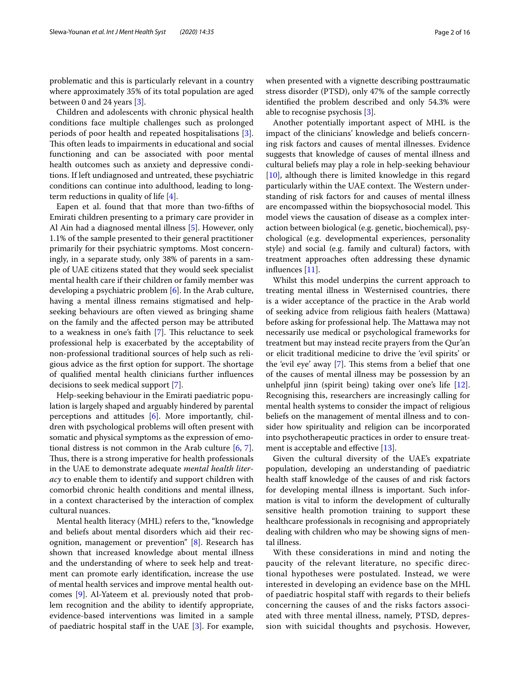problematic and this is particularly relevant in a country where approximately 35% of its total population are aged between 0 and 24 years [[3\]](#page-14-2).

Children and adolescents with chronic physical health conditions face multiple challenges such as prolonged periods of poor health and repeated hospitalisations [\[3](#page-14-2)]. This often leads to impairments in educational and social functioning and can be associated with poor mental health outcomes such as anxiety and depressive conditions. If left undiagnosed and untreated, these psychiatric conditions can continue into adulthood, leading to longterm reductions in quality of life [[4\]](#page-14-3).

Eapen et al. found that that more than two-ffths of Emirati children presenting to a primary care provider in Al Ain had a diagnosed mental illness [[5](#page-14-4)]. However, only 1.1% of the sample presented to their general practitioner primarily for their psychiatric symptoms. Most concerningly, in a separate study, only 38% of parents in a sample of UAE citizens stated that they would seek specialist mental health care if their children or family member was developing a psychiatric problem [[6](#page-15-0)]. In the Arab culture, having a mental illness remains stigmatised and helpseeking behaviours are often viewed as bringing shame on the family and the afected person may be attributed to a weakness in one's faith  $[7]$  $[7]$ . This reluctance to seek professional help is exacerbated by the acceptability of non-professional traditional sources of help such as religious advice as the first option for support. The shortage of qualifed mental health clinicians further infuences decisions to seek medical support [[7\]](#page-15-1).

Help-seeking behaviour in the Emirati paediatric population is largely shaped and arguably hindered by parental perceptions and attitudes [[6\]](#page-15-0). More importantly, children with psychological problems will often present with somatic and physical symptoms as the expression of emotional distress is not common in the Arab culture [[6,](#page-15-0) [7](#page-15-1)]. Thus, there is a strong imperative for health professionals in the UAE to demonstrate adequate *mental health literacy* to enable them to identify and support children with comorbid chronic health conditions and mental illness, in a context characterised by the interaction of complex cultural nuances.

Mental health literacy (MHL) refers to the, "knowledge and beliefs about mental disorders which aid their recognition, management or prevention" [[8\]](#page-15-2). Research has shown that increased knowledge about mental illness and the understanding of where to seek help and treatment can promote early identifcation, increase the use of mental health services and improve mental health outcomes [[9\]](#page-15-3). Al-Yateem et al. previously noted that problem recognition and the ability to identify appropriate, evidence-based interventions was limited in a sample of paediatric hospital staff in the UAE  $[3]$  $[3]$ . For example,

when presented with a vignette describing posttraumatic stress disorder (PTSD), only 47% of the sample correctly identifed the problem described and only 54.3% were able to recognise psychosis [\[3](#page-14-2)].

Another potentially important aspect of MHL is the impact of the clinicians' knowledge and beliefs concerning risk factors and causes of mental illnesses. Evidence suggests that knowledge of causes of mental illness and cultural beliefs may play a role in help-seeking behaviour [[10\]](#page-15-4), although there is limited knowledge in this regard particularly within the UAE context. The Western understanding of risk factors for and causes of mental illness are encompassed within the biopsychosocial model. This model views the causation of disease as a complex interaction between biological (e.g. genetic, biochemical), psychological (e.g. developmental experiences, personality style) and social (e.g. family and cultural) factors, with treatment approaches often addressing these dynamic infuences [[11](#page-15-5)].

Whilst this model underpins the current approach to treating mental illness in Westernised countries, there is a wider acceptance of the practice in the Arab world of seeking advice from religious faith healers (Mattawa) before asking for professional help. The Mattawa may not necessarily use medical or psychological frameworks for treatment but may instead recite prayers from the Qur'an or elicit traditional medicine to drive the 'evil spirits' or the 'evil eye' away  $[7]$  $[7]$ . This stems from a belief that one of the causes of mental illness may be possession by an unhelpful jinn (spirit being) taking over one's life [\[12](#page-15-6)]. Recognising this, researchers are increasingly calling for mental health systems to consider the impact of religious beliefs on the management of mental illness and to consider how spirituality and religion can be incorporated into psychotherapeutic practices in order to ensure treat-ment is acceptable and effective [\[13](#page-15-7)].

Given the cultural diversity of the UAE's expatriate population, developing an understanding of paediatric health staff knowledge of the causes of and risk factors for developing mental illness is important. Such information is vital to inform the development of culturally sensitive health promotion training to support these healthcare professionals in recognising and appropriately dealing with children who may be showing signs of mental illness.

With these considerations in mind and noting the paucity of the relevant literature, no specific directional hypotheses were postulated. Instead, we were interested in developing an evidence base on the MHL of paediatric hospital staff with regards to their beliefs concerning the causes of and the risks factors associated with three mental illness, namely, PTSD, depression with suicidal thoughts and psychosis. However,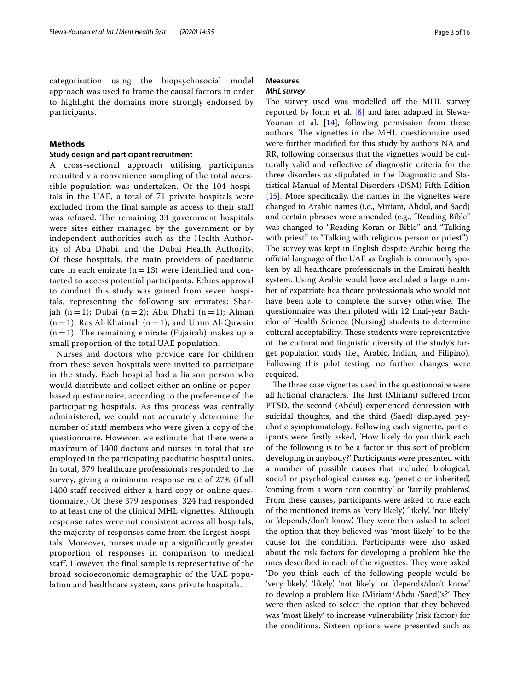categorisation using the biopsychosocial model approach was used to frame the causal factors in order to highlight the domains more strongly endorsed by participants.

# **Methods**

# **Study design and participant recruitment**

A cross-sectional approach utilising participants recruited via convenience sampling of the total accessible population was undertaken. Of the 104 hospitals in the UAE, a total of 71 private hospitals were excluded from the final sample as access to their staff was refused. The remaining 33 government hospitals were sites either managed by the government or by independent authorities such as the Health Authority of Abu Dhabi, and the Dubai Health Authority. Of these hospitals, the main providers of paediatric care in each emirate  $(n = 13)$  were identified and contacted to access potential participants. Ethics approval to conduct this study was gained from seven hospitals, representing the following six emirates: Sharjah  $(n = 1)$ ; Dubai  $(n = 2)$ ; Abu Dhabi  $(n = 1)$ ; Ajman  $(n = 1)$ ; Ras Al-Khaimah  $(n = 1)$ ; and Umm Al-Quwain  $(n = 1)$ . The remaining emirate (Fujairah) makes up a small proportion of the total UAE population.

Nurses and doctors who provide care for children from these seven hospitals were invited to participate in the study. Each hospital had a liaison person who would distribute and collect either an online or paperbased questionnaire, according to the preference of the participating hospitals. As this process was centrally administered, we could not accurately determine the number of staff members who were given a copy of the questionnaire. However, we estimate that there were a maximum of 1400 doctors and nurses in total that are employed in the participating paediatric hospital units. In total, 379 healthcare professionals responded to the survey, giving a minimum response rate of 27% (if all 1400 staff received either a hard copy or online questionnaire.) Of these 379 responses, 324 had responded to at least one of the clinical MHL vignettes. Although response rates were not consistent across all hospitals, the majority of responses came from the largest hospitals. Moreover, nurses made up a significantly greater proportion of responses in comparison to medical staff. However, the final sample is representative of the broad socioeconomic demographic of the UAE population and healthcare system, sans private hospitals.

# **Measures**

# *MHL survey*

The survey used was modelled off the MHL survey reported by Jorm et al. [[8\]](#page-15-2) and later adapted in Slewa-Younan et al. [[14\]](#page-15-8), following permission from those authors. The vignettes in the MHL questionnaire used were further modifed for this study by authors NA and RR, following consensus that the vignettes would be culturally valid and refective of diagnostic criteria for the three disorders as stipulated in the Diagnostic and Statistical Manual of Mental Disorders (DSM) Fifth Edition [[15\]](#page-15-9). More specifically, the names in the vignettes were changed to Arabic names (i.e., Miriam, Abdul, and Saed) and certain phrases were amended (e.g., "Reading Bible" was changed to "Reading Koran or Bible" and "Talking with priest" to "Talking with religious person or priest"). The survey was kept in English despite Arabic being the official language of the UAE as English is commonly spoken by all healthcare professionals in the Emirati health system. Using Arabic would have excluded a large number of expatriate healthcare professionals who would not have been able to complete the survey otherwise. The questionnaire was then piloted with 12 fnal-year Bachelor of Health Science (Nursing) students to determine cultural acceptability. These students were representative of the cultural and linguistic diversity of the study's target population study (i.e., Arabic, Indian, and Filipino). Following this pilot testing, no further changes were required.

The three case vignettes used in the questionnaire were all fictional characters. The first (Miriam) suffered from PTSD, the second (Abdul) experienced depression with suicidal thoughts, and the third (Saed) displayed psychotic symptomatology. Following each vignette, participants were frstly asked, 'How likely do you think each of the following is to be a factor in this sort of problem developing in anybody?' Participants were presented with a number of possible causes that included biological, social or psychological causes e.g. 'genetic or inherited', 'coming from a worn torn country' or 'family problems'. From these causes, participants were asked to rate each of the mentioned items as 'very likely', 'likely', 'not likely' or 'depends/don't know'. They were then asked to select the option that they believed was 'most likely' to be the cause for the condition. Participants were also asked about the risk factors for developing a problem like the ones described in each of the vignettes. They were asked 'Do you think each of the following people would be 'very likely', 'likely', 'not likely' or 'depends/don't know' to develop a problem like (Miriam/Abdul/Saed)'s?' They were then asked to select the option that they believed was 'most likely' to increase vulnerability (risk factor) for the conditions. Sixteen options were presented such as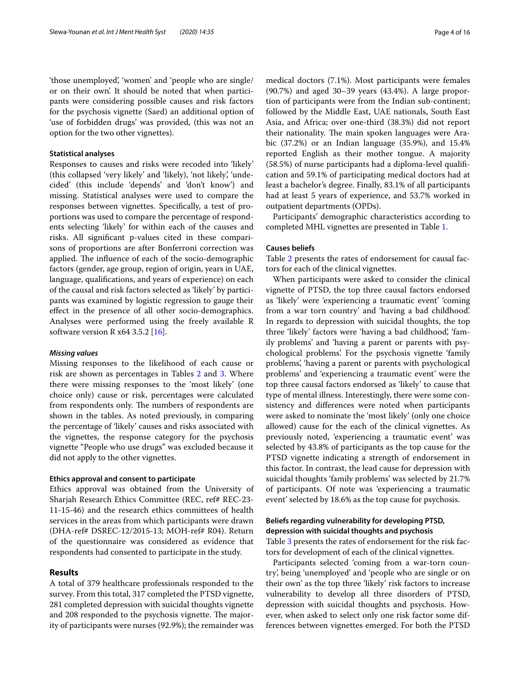'those unemployed', 'women' and 'people who are single/ or on their own'. It should be noted that when participants were considering possible causes and risk factors for the psychosis vignette (Saed) an additional option of 'use of forbidden drugs' was provided, (this was not an option for the two other vignettes).

# **Statistical analyses**

Responses to causes and risks were recoded into 'likely' (this collapsed 'very likely' and 'likely), 'not likely', 'undecided' (this include 'depends' and 'don't know') and missing. Statistical analyses were used to compare the responses between vignettes. Specifcally, a test of proportions was used to compare the percentage of respondents selecting 'likely' for within each of the causes and risks. All signifcant p-values cited in these comparisons of proportions are after Bonferroni correction was applied. The influence of each of the socio-demographic factors (gender, age group, region of origin, years in UAE, language, qualifcations, and years of experience) on each of the causal and risk factors selected as 'likely' by participants was examined by logistic regression to gauge their efect in the presence of all other socio-demographics. Analyses were performed using the freely available R software version R  $x64$  3.5.2 [\[16\]](#page-15-10).

### *Missing values*

Missing responses to the likelihood of each cause or risk are shown as percentages in Tables [2](#page-6-0) and [3](#page-8-0). Where there were missing responses to the 'most likely' (one choice only) cause or risk, percentages were calculated from respondents only. The numbers of respondents are shown in the tables. As noted previously, in comparing the percentage of 'likely' causes and risks associated with the vignettes, the response category for the psychosis vignette "People who use drugs" was excluded because it did not apply to the other vignettes.

# **Ethics approval and consent to participate**

Ethics approval was obtained from the University of Sharjah Research Ethics Committee (REC, ref# REC-23- 11-15-46) and the research ethics committees of health services in the areas from which participants were drawn (DHA-ref# DSREC-12/2015-13; MOH-ref# R04). Return of the questionnaire was considered as evidence that respondents had consented to participate in the study.

# **Results**

A total of 379 healthcare professionals responded to the survey. From this total, 317 completed the PTSD vignette, 281 completed depression with suicidal thoughts vignette and 208 responded to the psychosis vignette. The majority of participants were nurses (92.9%); the remainder was medical doctors (7.1%). Most participants were females (90.7%) and aged 30–39 years (43.4%). A large proportion of participants were from the Indian sub-continent; followed by the Middle East, UAE nationals, South East Asia, and Africa; over one-third (38.3%) did not report their nationality. The main spoken languages were Arabic (37.2%) or an Indian language (35.9%), and 15.4% reported English as their mother tongue. A majority (58.5%) of nurse participants had a diploma-level qualifcation and 59.1% of participating medical doctors had at least a bachelor's degree. Finally, 83.1% of all participants had at least 5 years of experience, and 53.7% worked in outpatient departments (OPDs).

Participants' demographic characteristics according to completed MHL vignettes are presented in Table [1.](#page-4-0)

# **Causes beliefs**

Table [2](#page-6-0) presents the rates of endorsement for causal factors for each of the clinical vignettes.

When participants were asked to consider the clinical vignette of PTSD, the top three causal factors endorsed as 'likely' were 'experiencing a traumatic event' 'coming from a war torn country' and 'having a bad childhood'. In regards to depression with suicidal thoughts, the top three 'likely' factors were 'having a bad childhood', 'family problems' and 'having a parent or parents with psychological problems'. For the psychosis vignette 'family problems', 'having a parent or parents with psychological problems' and 'experiencing a traumatic event' were the top three causal factors endorsed as 'likely' to cause that type of mental illness. Interestingly, there were some consistency and diferences were noted when participants were asked to nominate the 'most likely' (only one choice allowed) cause for the each of the clinical vignettes. As previously noted, 'experiencing a traumatic event' was selected by 43.8% of participants as the top cause for the PTSD vignette indicating a strength of endorsement in this factor. In contrast, the lead cause for depression with suicidal thoughts 'family problems' was selected by 21.7% of participants. Of note was 'experiencing a traumatic event' selected by 18.6% as the top cause for psychosis.

# **Beliefs regarding vulnerability for developing PTSD, depression with suicidal thoughts and psychosis**

Table [3](#page-8-0) presents the rates of endorsement for the risk factors for development of each of the clinical vignettes.

Participants selected 'coming from a war-torn country', being 'unemployed' and 'people who are single or on their own' as the top three 'likely' risk factors to increase vulnerability to develop all three disorders of PTSD, depression with suicidal thoughts and psychosis. However, when asked to select only one risk factor some differences between vignettes emerged. For both the PTSD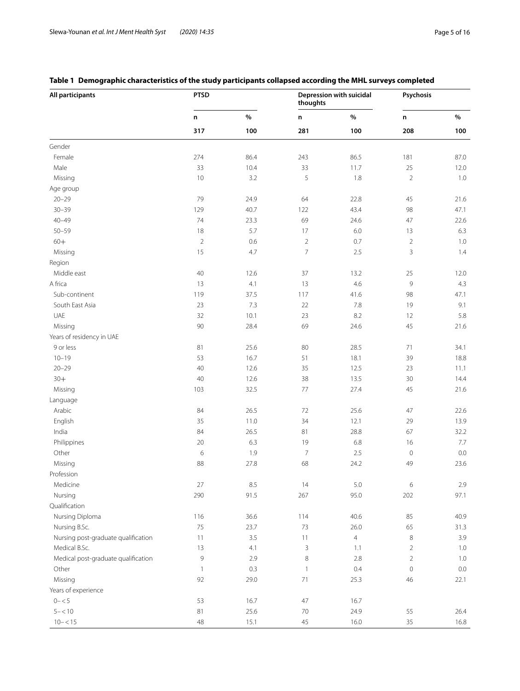# <span id="page-4-0"></span>**Table 1 Demographic characteristics of the study participants collapsed according the MHL surveys completed**

| All participants                    | <b>PTSD</b>    |      | thoughts       | Depression with suicidal | Psychosis      |         |
|-------------------------------------|----------------|------|----------------|--------------------------|----------------|---------|
|                                     | n              | $\%$ | n              | $\%$                     | n              | $\%$    |
|                                     | 317            | 100  | 281            | 100                      | 208            | 100     |
| Gender                              |                |      |                |                          |                |         |
| Female                              | 274            | 86.4 | 243            | 86.5                     | 181            | 87.0    |
| Male                                | 33             | 10.4 | 33             | 11.7                     | 25             | 12.0    |
| Missing                             | $10$           | 3.2  | 5              | 1.8                      | $\overline{2}$ | $1.0\,$ |
| Age group                           |                |      |                |                          |                |         |
| $20 - 29$                           | 79             | 24.9 | 64             | 22.8                     | 45             | 21.6    |
| $30 - 39$                           | 129            | 40.7 | 122            | 43.4                     | 98             | 47.1    |
| $40 - 49$                           | 74             | 23.3 | 69             | 24.6                     | 47             | 22.6    |
| $50 - 59$                           | 18             | 5.7  | 17             | $6.0\,$                  | 13             | 6.3     |
| $60+$                               | $\overline{2}$ | 0.6  | $\overline{2}$ | 0.7                      | $\sqrt{2}$     | $1.0\,$ |
| Missing                             | 15             | 4.7  | $\overline{7}$ | 2.5                      | 3              | 1.4     |
| Region                              |                |      |                |                          |                |         |
| Middle east                         | 40             | 12.6 | 37             | 13.2                     | 25             | 12.0    |
| A frica                             | 13             | 4.1  | 13             | 4.6                      | 9              | 4.3     |
| Sub-continent                       | 119            | 37.5 | 117            | 41.6                     | $98\,$         | 47.1    |
| South East Asia                     | 23             | 7.3  | 22             | 7.8                      | 19             | 9.1     |
| UAE                                 | 32             | 10.1 | 23             | 8.2                      | 12             | 5.8     |
| Missing                             | $90\,$         | 28.4 | 69             | 24.6                     | 45             | 21.6    |
| Years of residency in UAE           |                |      |                |                          |                |         |
| 9 or less                           | 81             | 25.6 | 80             | 28.5                     | 71             | 34.1    |
| $10 - 19$                           | 53             | 16.7 | 51             | 18.1                     | 39             | 18.8    |
| $20 - 29$                           | 40             | 12.6 | 35             | 12.5                     | 23             | 11.1    |
| $30+$                               | $40\,$         | 12.6 | 38             | 13.5                     | 30             | 14.4    |
| Missing                             | 103            | 32.5 | $77\,$         | 27.4                     | 45             | 21.6    |
| Language                            |                |      |                |                          |                |         |
| Arabic                              | 84             | 26.5 | 72             | 25.6                     | 47             | 22.6    |
| English                             | 35             | 11.0 | 34             | 12.1                     | 29             | 13.9    |
| India                               | 84             | 26.5 | 81             | 28.8                     | 67             | 32.2    |
| Philippines                         | $20\,$         | 6.3  | 19             | 6.8                      | 16             | $7.7\,$ |
| Other                               | 6              | 1.9  | $\overline{7}$ | 2.5                      | $\mathbf 0$    | $0.0\,$ |
| Missing                             | 88             | 27.8 | 68             | 24.2                     | 49             | 23.6    |
| Profession                          |                |      |                |                          |                |         |
| Medicine                            | $27\,$         | 8.5  | 14             | 5.0                      | 6              | $2.9\,$ |
| Nursing                             | 290            | 91.5 | 267            | 95.0                     | 202            | 97.1    |
| Qualification                       |                |      |                |                          |                |         |
| Nursing Diploma                     | 116            | 36.6 | 114            | 40.6                     | 85             | 40.9    |
| Nursing B.Sc.                       | 75             | 23.7 | 73             | 26.0                     | 65             | 31.3    |
| Nursing post-graduate qualification | 11             | 3.5  | 11             | $\overline{4}$           | $\,8\,$        | 3.9     |
| Medical B.Sc.                       | 13             | 4.1  | 3              | 1.1                      | $\overline{c}$ | 1.0     |
| Medical post-graduate qualification | 9              | 2.9  | $\,8\,$        | 2.8                      | $\overline{2}$ | $1.0\,$ |
| Other                               | $\mathbf{1}$   | 0.3  | $\overline{1}$ | 0.4                      | $\mathbf 0$    | $0.0\,$ |
| Missing                             | 92             | 29.0 | 71             | 25.3                     | $46\,$         | 22.1    |
| Years of experience                 |                |      |                |                          |                |         |
| $0 - 5$                             | 53             | 16.7 | 47             | 16.7                     |                |         |
| $5 - 10$                            | 81             | 25.6 | $70$           | 24.9                     | 55             | 26.4    |
| $10 - < 15$                         | 48             | 15.1 | 45             | 16.0                     | 35             | 16.8    |
|                                     |                |      |                |                          |                |         |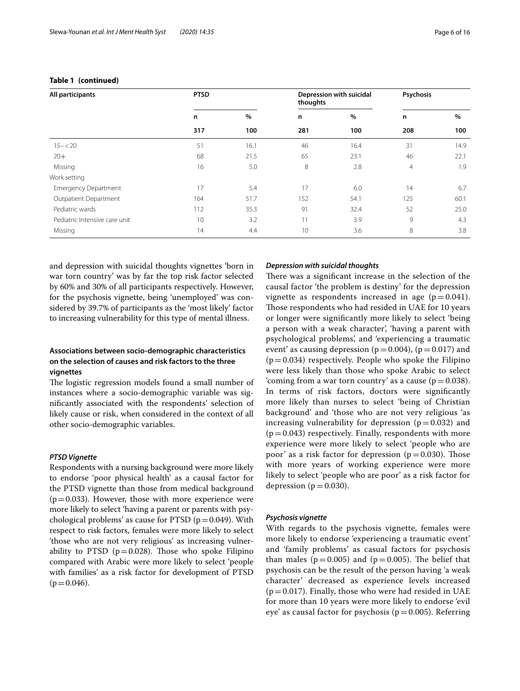| All participants              | <b>PTSD</b> |      | thoughts | Depression with suicidal | Psychosis |      |
|-------------------------------|-------------|------|----------|--------------------------|-----------|------|
|                               | n           | $\%$ | n        | $\%$                     | n         | $\%$ |
|                               | 317         | 100  | 281      | 100                      | 208       | 100  |
| $15 - 20$                     | 51          | 16.1 | 46       | 16.4                     | 31        | 14.9 |
| $20+$                         | 68          | 21.5 | 65       | 23.1                     | 46        | 22.1 |
| Missing                       | 16          | 5.0  | 8        | 2.8                      | 4         | 1.9  |
| Work setting                  |             |      |          |                          |           |      |
| <b>Emergency Department</b>   | 17          | 5.4  | 17       | 6.0                      | 14        | 6.7  |
| Outpatient Department         | 164         | 51.7 | 152      | 54.1                     | 125       | 60.1 |
| Pediatric wards               | 112         | 35.3 | 91       | 32.4                     | 52        | 25.0 |
| Pediatric Intensive care unit | 10          | 3.2  | 11       | 3.9                      | 9         | 4.3  |
| Missing                       | 14          | 4.4  | 10       | 3.6                      | 8         | 3.8  |

# **Table 1 (continued)**

and depression with suicidal thoughts vignettes 'born in war torn country' was by far the top risk factor selected by 60% and 30% of all participants respectively. However, for the psychosis vignette, being 'unemployed' was considered by 39.7% of participants as the 'most likely' factor to increasing vulnerability for this type of mental illness.

# **Associations between socio‑demographic characteristics on the selection of causes and risk factors to the three vignettes**

The logistic regression models found a small number of instances where a socio-demographic variable was signifcantly associated with the respondents' selection of likely cause or risk, when considered in the context of all other socio-demographic variables.

# *PTSD Vignette*

Respondents with a nursing background were more likely to endorse 'poor physical health' as a causal factor for the PTSD vignette than those from medical background  $(p=0.033)$ . However, those with more experience were more likely to select 'having a parent or parents with psychological problems' as cause for PTSD ( $p = 0.049$ ). With respect to risk factors, females were more likely to select 'those who are not very religious' as increasing vulnerability to PTSD ( $p=0.028$ ). Those who spoke Filipino compared with Arabic were more likely to select 'people with families' as a risk factor for development of PTSD  $(p=0.046)$ .

# *Depression with suicidal thoughts*

There was a significant increase in the selection of the causal factor 'the problem is destiny' for the depression vignette as respondents increased in age  $(p=0.041)$ . Those respondents who had resided in UAE for 10 years or longer were signifcantly more likely to select 'being a person with a weak character', 'having a parent with psychological problems', and 'experiencing a traumatic event' as causing depression ( $p=0.004$ ), ( $p=0.017$ ) and  $(p=0.034)$  respectively. People who spoke the Filipino were less likely than those who spoke Arabic to select 'coming from a war torn country' as a cause ( $p=0.038$ ). In terms of risk factors, doctors were signifcantly more likely than nurses to select 'being of Christian background' and 'those who are not very religious 'as increasing vulnerability for depression ( $p=0.032$ ) and  $(p=0.043)$  respectively. Finally, respondents with more experience were more likely to select 'people who are poor' as a risk factor for depression ( $p=0.030$ ). Those with more years of working experience were more likely to select 'people who are poor' as a risk factor for depression ( $p=0.030$ ).

# *Psychosis vignette*

With regards to the psychosis vignette, females were more likely to endorse 'experiencing a traumatic event' and 'family problems' as casual factors for psychosis than males ( $p=0.005$ ) and ( $p=0.005$ ). The belief that psychosis can be the result of the person having 'a weak character' decreased as experience levels increased  $(p=0.017)$ . Finally, those who were had resided in UAE for more than 10 years were more likely to endorse 'evil eye' as causal factor for psychosis ( $p=0.005$ ). Referring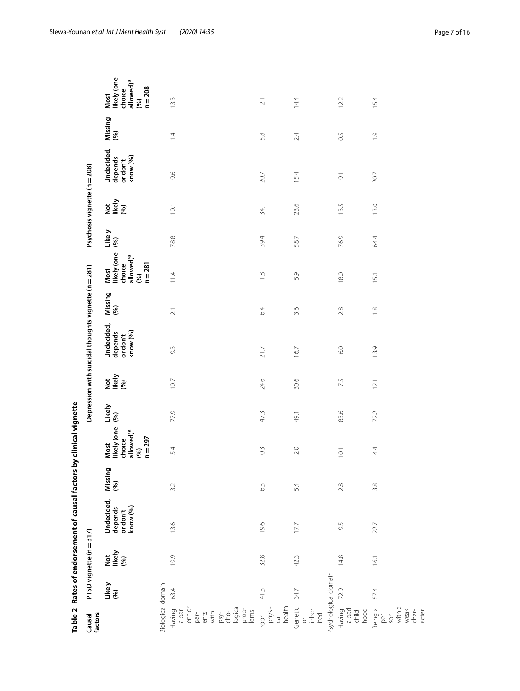|                                                              |                      |                         | Table 2 Rates of endorsement of causal factors |                | by clinical vignette                                                        |               |                      |                                                      |                 |                                                                             |               |                              |                                               |                |                                                                             |
|--------------------------------------------------------------|----------------------|-------------------------|------------------------------------------------|----------------|-----------------------------------------------------------------------------|---------------|----------------------|------------------------------------------------------|-----------------|-----------------------------------------------------------------------------|---------------|------------------------------|-----------------------------------------------|----------------|-----------------------------------------------------------------------------|
| factors<br>Causal                                            |                      | PTSD vignette (n = 317) |                                                |                |                                                                             |               |                      | Depression with suicidal thoughts vignette (n = 281) |                 |                                                                             |               | Psychosis vignette (n = 208) |                                               |                |                                                                             |
|                                                              | Likely<br>(%)        | <b>bely</b><br>Likely®  | Undecided,<br>or don't<br>know (%)<br>depends  | Missing<br>(%) | likely (one<br>allowed) <sup>a</sup><br>$n = 297$<br>choice<br>Most<br>(96) | Likely<br>(%) | Not<br>Iikely<br>(%) | Undecided,<br>know (%)<br>depends<br>or don't        | Missing<br>(%)  | Most<br>likely (one<br>allowed) <sup>a</sup><br>$n = 281$<br>choice<br>(96) | Likely<br>(%) | Nat<br>Ikely<br>(%)          | Undecided,<br>or don't<br>know (%)<br>depends | Missing<br>(%) | likely (one<br>allowed) <sup>a</sup><br>$n = 208$<br>choice<br>Most<br>(96) |
| Biological domain                                            |                      |                         |                                                |                |                                                                             |               |                      |                                                      |                 |                                                                             |               |                              |                                               |                |                                                                             |
| ent or<br>a par-<br>Having                                   | 63.4                 | 19.9                    | 13.6                                           | 3.2            | 54                                                                          | 77.9          | 10.7                 | 9.3                                                  | $\overline{21}$ | 114                                                                         | 78.8          | 10.1                         | 9.6                                           | 1.4            | 13.3                                                                        |
| ents<br>with<br>par-                                         |                      |                         |                                                |                |                                                                             |               |                      |                                                      |                 |                                                                             |               |                              |                                               |                |                                                                             |
| psy-<br>cho-<br>logical<br>prob-                             |                      |                         |                                                |                |                                                                             |               |                      |                                                      |                 |                                                                             |               |                              |                                               |                |                                                                             |
| lems                                                         |                      |                         |                                                |                |                                                                             |               |                      |                                                      |                 |                                                                             |               |                              |                                               |                |                                                                             |
| health<br>physi-<br>Poor<br>$\overline{c}$                   | 41.3                 | 32.8                    | 19.6                                           | 63             | $\widetilde{\mathrm{C}}$                                                    | 47.3          | 24.6                 | 21.7                                                 | 64              | $\frac{8}{10}$                                                              | 39.4          | 34.1                         | 20.7                                          | 5.8            | $\overline{2.1}$                                                            |
| Genetic<br>inher-<br>ited<br>$\sigma$                        | 34.7                 | 42.3                    | 17.7                                           | 5.4            | 2.0                                                                         | 49.1          | 30.6                 | 16.7                                                 | 3.6             | 5.9                                                                         | 58.7          | 23.6                         | 15.4                                          | 2.4            | 14.4                                                                        |
|                                                              | Psychological domain |                         |                                                |                |                                                                             |               |                      |                                                      |                 |                                                                             |               |                              |                                               |                |                                                                             |
| Having<br>a bad<br>child-<br>hood                            | 72.9                 | 14.8                    | 9.5                                            | 2.8            | 10.1                                                                        | 83.6          | 7.5                  | 6.0                                                  | 2.8             | 18.0                                                                        | 76.9          | 13.5                         | $\overline{\mathcal{O}}$                      | $\overline{0}$ | 12.2                                                                        |
| with a<br>Being a<br>weak<br>$char-$<br>acter<br>per-<br>son | 57.4                 | 16.1                    | 22.7                                           | 3.8            | 44                                                                          | 72.2          | 12.1                 | 13.9                                                 | $\frac{8}{10}$  | 15.1                                                                        | 64.4          | 13.0                         | 20.7                                          | $\frac{1}{2}$  | 15.4                                                                        |

<span id="page-6-0"></span>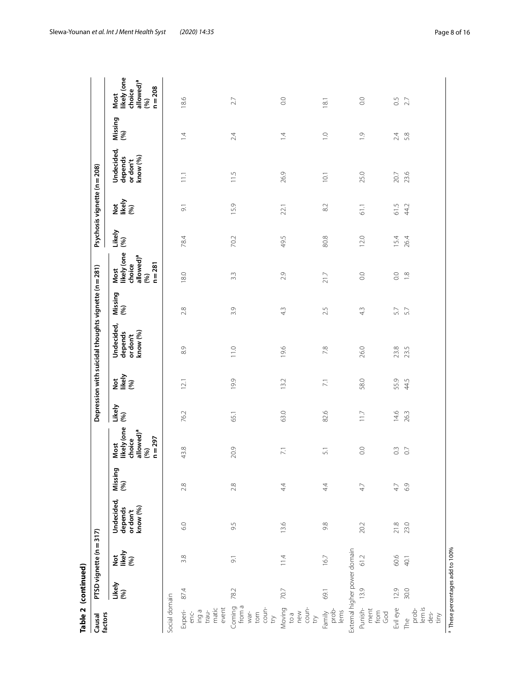|                                                     | Table 2 (continued)                        |                          |                                               |                |                                                                            |               |                         |                                                      |                |                                                                             |               |                              |                                               |                |                                                                             |
|-----------------------------------------------------|--------------------------------------------|--------------------------|-----------------------------------------------|----------------|----------------------------------------------------------------------------|---------------|-------------------------|------------------------------------------------------|----------------|-----------------------------------------------------------------------------|---------------|------------------------------|-----------------------------------------------|----------------|-----------------------------------------------------------------------------|
| factors<br>Causal                                   |                                            | PTSD vignette (n = 317)  |                                               |                |                                                                            |               |                         | Depression with suicidal thoughts vignette (n = 281) |                |                                                                             |               | Psychosis vignette (n = 208) |                                               |                |                                                                             |
|                                                     | Likely<br>(%)                              | bely<br>Likely<br>(%)    | Undecided,<br>depends<br>or don't<br>know (%) | Missing<br>(%) | likely (one<br>allowed) <sup>a</sup><br>$n = 297$<br>choice<br>Most<br>(%) | Likely<br>(%) | Nat<br>Iikely<br>(%)    | Undecided,<br>know (%)<br>depends<br>or don't        | Missing<br>(%) | likely (one<br>allowed) <sup>a</sup><br>choice<br>$n = 281$<br>Most<br>(96) | Likely<br>(%) | National<br>News<br>(%)      | Undecided,<br>know (%)<br>depends<br>or don't | Missing<br>(%) | Most<br>likely (one<br>allowed) <sup>a</sup><br>$n = 208$<br>choice<br>(96) |
| Social domain                                       |                                            |                          |                                               |                |                                                                            |               |                         |                                                      |                |                                                                             |               |                              |                                               |                |                                                                             |
| matic<br>event<br>Experi-<br>enc-<br>ing a<br>trau- | 87.4                                       | 3.8                      | 6.0                                           | 2.8            | 43.8                                                                       | 76.2          | 12.1                    | 8.9                                                  | 2.8            | 18.0                                                                        | 78.4          | $\overline{\circ}$           | 11.1                                          | $\overline{4}$ | 18.6                                                                        |
| Coming<br>from a<br>coun-<br>try<br>torn<br>$Wdf$ - | 78.2                                       | $\overline{\mathcal{O}}$ | 9.5                                           | 2.8            | 20.9                                                                       | 65.1          | 19.9                    | 11.0                                                 | 3.9            | 3.3                                                                         | 70.2          | 15.9                         | 11.5                                          | 2.4            | 27                                                                          |
| coun-<br>Moving<br>to a<br>new<br>try               | 70.7                                       | 11.4                     | 13.6                                          | $\ddot{4}$     | $\overline{\Sigma}$                                                        | 63.0          | 13.2                    | 19.6                                                 | 43             | 2.9                                                                         | 49.5          | 22.1                         | 26.9                                          | $\overline{4}$ | $_{\odot}$                                                                  |
| prob-<br>lems<br>Family                             | External higher power domain<br>69.1       | 16.7                     | 9.8                                           | 44             | $\overline{51}$                                                            | 82.6          | $\overline{\mathbb{Z}}$ | 7.8                                                  | 2.5            | 21.7                                                                        | 80.8          | 8.2                          | 10.1                                          | $\overline{C}$ | 18.1                                                                        |
| Punish-<br>ment<br>from<br>God                      | 13.9                                       | 61.2                     | 20.2                                          | 47             | $\rm ^{\circ}$                                                             | 11.7          | 58.0                    | 26.0                                                 | 43             | $_{\odot}^{\rm O}$                                                          | 12.0          | 61.1                         | 25.0                                          | $\overline{0}$ | $_{\odot}^{\rm O}$                                                          |
| Evil eye                                            | 12.9                                       | 60.6                     | $21.8$                                        | 4.7            | $\odot$                                                                    | 14.6          | 55.9                    | 23.8                                                 | 5.7            | $\rm ^{0.0}$                                                                | 15.4          | 61.5                         | 20.7                                          | 2.4            | 0.5                                                                         |
| prob-<br>lem is<br>des-<br>The<br>tiny              | 30.0                                       | 40.1                     | 23.0                                          | 6.9            | $\overline{0}$                                                             | 26.3          | 44.5                    | 23.5                                                 | 5.7            | $\frac{8}{10}$                                                              | 26.4          | 44.2                         | 23.6                                          | 5.8            | 2.7                                                                         |
|                                                     | <sup>a</sup> These percentages add to 100% |                          |                                               |                |                                                                            |               |                         |                                                      |                |                                                                             |               |                              |                                               |                |                                                                             |

Slewa‑Younan *et al. Int J Ment Health Syst (2020) 14:35* Page 8 of 16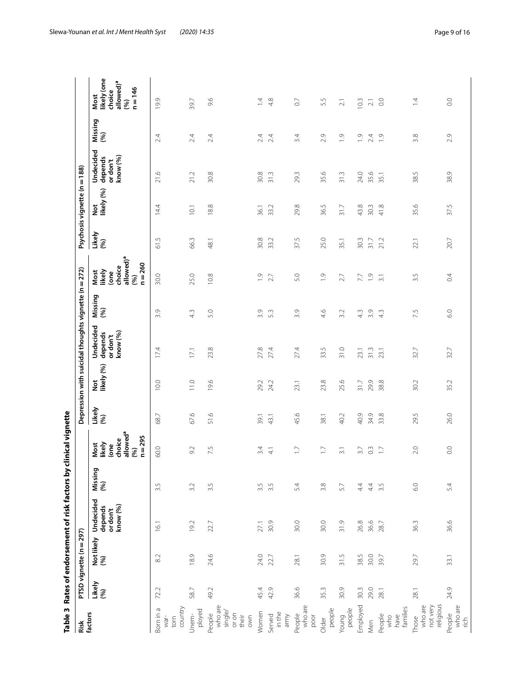|                                                       |               |                                | Table 3 Rates of endorsement of risk factors by |                | dinical vignette                                                             |               |                   |                                                      |                 |                                                                               |                      |                              |                                              |                |                                                                             |
|-------------------------------------------------------|---------------|--------------------------------|-------------------------------------------------|----------------|------------------------------------------------------------------------------|---------------|-------------------|------------------------------------------------------|-----------------|-------------------------------------------------------------------------------|----------------------|------------------------------|----------------------------------------------|----------------|-----------------------------------------------------------------------------|
| Risk                                                  |               | PTSD vignette (n = 297)        |                                                 |                |                                                                              |               |                   | Depression with suicidal thoughts vignette (n = 272) |                 |                                                                               |                      | Psychosis vignette (n = 188) |                                              |                |                                                                             |
| factors                                               | Likely<br>(%) | Not likely<br>(%)              | Undecided<br>know (%)<br>depends<br>or don't    | Missing<br>(%) | choice<br>allowed <sup>a</sup><br>$n = 295$<br>Most<br>likely<br>(one<br>(%) | Likely<br>(%) | Not<br>likely (%) | Undecided<br>depends<br>or don't<br>know (%)         | Missing<br>(96) | allowed) <sup>a</sup><br>$n = 260$<br>choice<br>Most<br>likely<br>(one<br>(%) | Likely<br>(%)        | Not<br>likely (%)            | Undecided<br>know (%)<br>depends<br>or don't | Missing<br>(%) | likely (one<br>allowed) <sup>a</sup><br>$n = 146$<br>choice<br>Most<br>(96) |
| country<br>Born in a<br>torn<br>war-                  | 72.2          | 8.2                            | 16.1                                            | 3.5            | 60.0                                                                         | 68.7          | 10.0              | 17.4                                                 | 3.9             | 30.0                                                                          | L)<br>$\overline{6}$ | 14.4                         | $\varphi$<br>$\overline{21}$ .               | 2.4            | 19.9                                                                        |
| ployed<br>Unem-                                       | 58.7          | 18.9                           | 19.2                                            | 3.2            | 9.2                                                                          | 67.6          | 11.0              | 17.1                                                 | 43              | 25.0                                                                          | 66.3                 | 10.1                         | 21.2                                         | 2.4            | 39.7                                                                        |
| who are<br>single/<br>People<br>or on<br>their<br>own | 49.2          | 24.6                           | 22.7                                            | 3.5            | 7.5                                                                          | 51.6          | 19.6              | 23.8                                                 | 5.0             | 10.8                                                                          | 48.1                 | 18.8                         | 30.8                                         | 2.4            | 9.6                                                                         |
| Women                                                 | 45.4          | 24.0                           | 27.1                                            | 3.5            | 3.4                                                                          | 39.1          | 29.2              | 27.8                                                 | 3.9             | $\overline{0}$                                                                | 30.8                 | 36.1                         | 30.8                                         | 2.4            | $\overline{4}$                                                              |
| in the<br>Served<br>army                              | 42.9          | 22.7                           | 30.9                                            | 3.5            | $\overline{4}$                                                               | 43.1          | 24.2              | 27.4                                                 | 53              | 2.7                                                                           | 33.2                 | 33.2                         | 31.3                                         | 2.4            | 4.8                                                                         |
| who are<br>People<br>poor                             | 36.6          | 28.1                           | 30.0                                            | 5.4            | $\Box$                                                                       | 45.6          | 23.1              | 27.4                                                 | 3.9             | 5.0                                                                           | 37.5                 | 29.8                         | 29.3                                         | 3.4            | $\overline{0}$                                                              |
| people<br>Older                                       | 35.3          | 30.9                           | 30.0                                            | $3.8$          | $\Box$                                                                       | 38.1          | 23.8              | 33.5                                                 | 4.6             | $\overline{0}$                                                                | 25.0                 | 36.5                         | 35.6                                         | 2.9            | 5.5                                                                         |
| people<br>Young                                       | 30.9          | LN.<br>$\overline{\mathbb{S}}$ | 31.9                                            | 57             | $\overline{3.1}$                                                             | 40.2          | 25.6              | 31.0                                                 | 3.2             | 2.7                                                                           | 35.1                 | 31.7                         | 31.3                                         | $\overline{0}$ | $\overline{2.1}$                                                            |
| Employed                                              | 30.3          | 38.5                           | 26.8                                            | 44             | 3.7                                                                          | 40.9          | 31.7              | 23.1                                                 | 43              | 7.7                                                                           | 30.3                 | 43.8                         | 24.0                                         | $\overline{0}$ | 10.3                                                                        |
| Men                                                   | 29.0          | 30.0                           | 36.6                                            | $44$           | $0.\overline{3}$                                                             | 34.9          | 29.9              | 31.3                                                 | 3.9             | $\frac{9}{2}$ $\frac{1}{2}$                                                   | 31.7                 | 30.3                         | 35.6                                         | 2.4            | $\gtrsim$                                                                   |
| families<br>People<br>have<br>who                     | 28.1          | 39.7                           | 28.7                                            | ى<br>5         | $\overline{17}$                                                              | 33.8          | 38.8              | 23.1                                                 | $4\overline{3}$ |                                                                               | 21.2                 | 41.8                         | 35.1                                         | $\overline{0}$ | $\rm_{0.0}$                                                                 |
| religious<br>not very<br>who are<br>Those             | 28.1          | 29.7                           | 36.3                                            | $6.0\,$        | 2.0                                                                          | 29.5          | 30.2              | 32.7                                                 | 7.5             | 3.5                                                                           | 22.1                 | 35.6                         | LV.<br>38.                                   | 3.8            | $\overline{4}$                                                              |
| People<br>who are<br>rich                             | 24.9          | 33.1                           | 36.6                                            | 5.4            | 0.0                                                                          | 26.0          | 35.2              | 32.7                                                 | 6.0             | 0.4                                                                           | 20.7                 | 37.5                         | 38.9                                         | 2.9            | $\rm ^{\circ}$                                                              |

<span id="page-8-0"></span>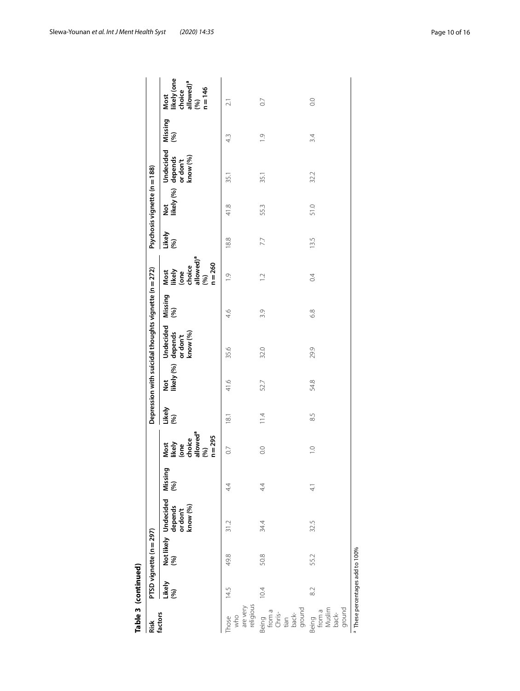|                                                      | Table 3 (continued)                        |                         |      |               |                                                                              |               |      |                                                                              |                |                                                                                                 |               |                              |                                                                   |                |                                                                            |
|------------------------------------------------------|--------------------------------------------|-------------------------|------|---------------|------------------------------------------------------------------------------|---------------|------|------------------------------------------------------------------------------|----------------|-------------------------------------------------------------------------------------------------|---------------|------------------------------|-------------------------------------------------------------------|----------------|----------------------------------------------------------------------------|
| Risk<br>factors                                      |                                            | PTSD vignette (n = 297) |      |               |                                                                              |               |      | Depression with suicidal thoughts vignette (n = 272)                         |                |                                                                                                 |               | Psychosis vignette (n = 188) |                                                                   |                |                                                                            |
|                                                      | Likely<br>(%)                              |                         |      |               | Most<br>Iikely<br>Cone<br>choice<br>allowed <sup>a</sup><br>@%)<br>$n = 295$ | Likely<br>(%) |      | Not Undecided M<br>Iikely (%) depends (*<br>or don't (* or don't<br>know (%) | Missing<br>(%) | Most<br>likely<br>(one<br>choice<br>allowed) <sup>a</sup><br>allowed) <sup>a</sup><br>$n = 260$ | Likely<br>(%) |                              | Not Undecided M<br>likely (%) depends (<br>or don't (<br>know (%) | Missing<br>(%) | Most<br>likely (one<br>choice<br>allowed) <sup>a</sup><br>(%)<br>$n = 146$ |
| Those<br>who<br>are very<br>religious                | 14.5                                       | 49.8                    | 31.2 | 4.            | $\overline{0}$                                                               | 18.1          | 41.6 | 35.6                                                                         | 4.6            | $\frac{1}{2}$                                                                                   | 18.8          | 41.8                         | 35.1                                                              | 4.3            | ಸ                                                                          |
| Being<br>from a<br>Chris-<br>tian<br>back-<br>ground | 10.4                                       | 50.8                    | 34.4 | 44            | $\overline{0}$ .                                                             | $\frac{1}{4}$ | 52.7 | 32.0                                                                         | 3.9            | $\supseteq$                                                                                     | 7.7           | 55.3                         | 35.1                                                              | $\overline{0}$ | $\overline{0}$                                                             |
| ground<br>Being<br>from a<br>Muslim<br>back-         | 82                                         | 55.2                    | 32.5 | $\frac{1}{4}$ | $\overline{C}$                                                               | 8.5           | 54.8 | 29.9                                                                         | 6.8            | $\overline{0}$                                                                                  | 13.5          | 51.0                         | 32.2                                                              | 3.4            | $\overline{O}$ .                                                           |
|                                                      | <sup>a</sup> These percentages add to 100% |                         |      |               |                                                                              |               |      |                                                                              |                |                                                                                                 |               |                              |                                                                   |                |                                                                            |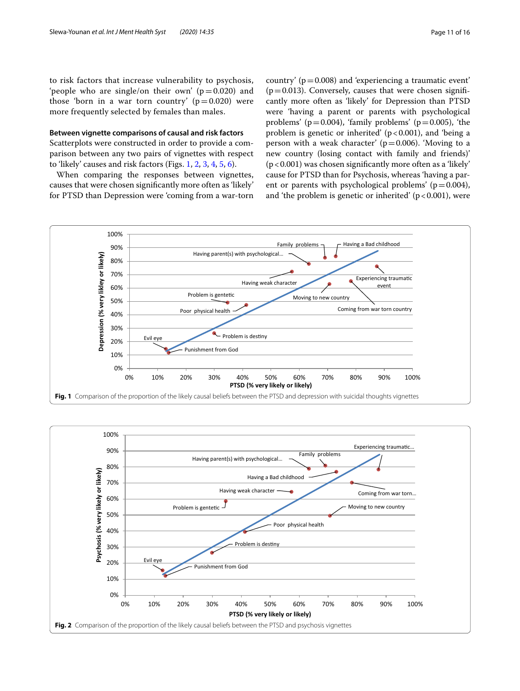to risk factors that increase vulnerability to psychosis, 'people who are single/on their own'  $(p=0.020)$  and those 'born in a war torn country'  $(p=0.020)$  were more frequently selected by females than males.

# **Between vignette comparisons of causal and risk factors**

Scatterplots were constructed in order to provide a comparison between any two pairs of vignettes with respect to 'likely' causes and risk factors (Figs. [1](#page-10-0), [2,](#page-10-1) [3](#page-11-0), [4,](#page-11-1) [5](#page-12-0), [6\)](#page-12-1).

When comparing the responses between vignettes, causes that were chosen signifcantly more often as 'likely' for PTSD than Depression were 'coming from a war-torn country' ( $p=0.008$ ) and 'experiencing a traumatic event'  $(p=0.013)$ . Conversely, causes that were chosen significantly more often as 'likely' for Depression than PTSD were 'having a parent or parents with psychological problems' ( $p=0.004$ ), 'family problems' ( $p=0.005$ ), 'the problem is genetic or inherited'  $(p < 0.001)$ , and 'being a person with a weak character'  $(p=0.006)$ . 'Moving to a new country (losing contact with family and friends)' (p<0.001) was chosen signifcantly more often as a 'likely' cause for PTSD than for Psychosis, whereas 'having a parent or parents with psychological problems' ( $p=0.004$ ), and 'the problem is genetic or inherited'  $(p < 0.001)$ , were



<span id="page-10-1"></span><span id="page-10-0"></span>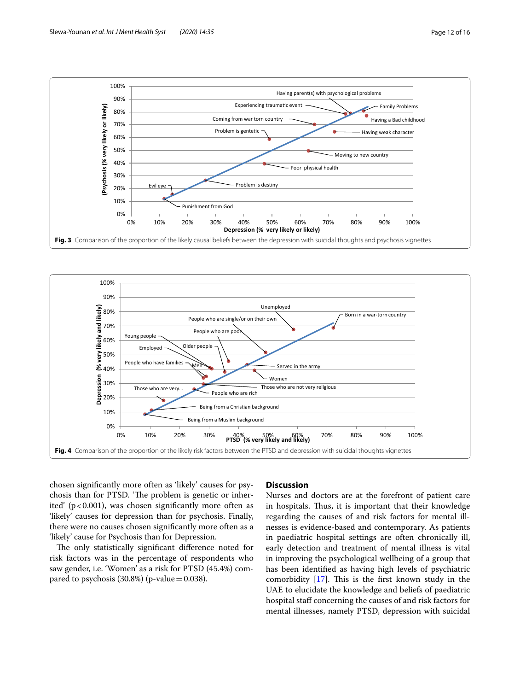

<span id="page-11-0"></span>

<span id="page-11-1"></span>chosen signifcantly more often as 'likely' causes for psychosis than for PTSD. 'The problem is genetic or inherited' ( $p < 0.001$ ), was chosen significantly more often as 'likely' causes for depression than for psychosis. Finally, there were no causes chosen signifcantly more often as a 'likely' cause for Psychosis than for Depression.

The only statistically significant difference noted for risk factors was in the percentage of respondents who saw gender, i.e. 'Women' as a risk for PTSD (45.4%) compared to psychosis  $(30.8%)$  (p-value = 0.038).

# **Discussion**

Nurses and doctors are at the forefront of patient care in hospitals. Thus, it is important that their knowledge regarding the causes of and risk factors for mental illnesses is evidence-based and contemporary. As patients in paediatric hospital settings are often chronically ill, early detection and treatment of mental illness is vital in improving the psychological wellbeing of a group that has been identifed as having high levels of psychiatric comorbidity  $[17]$  $[17]$  $[17]$ . This is the first known study in the UAE to elucidate the knowledge and beliefs of paediatric hospital staff concerning the causes of and risk factors for mental illnesses, namely PTSD, depression with suicidal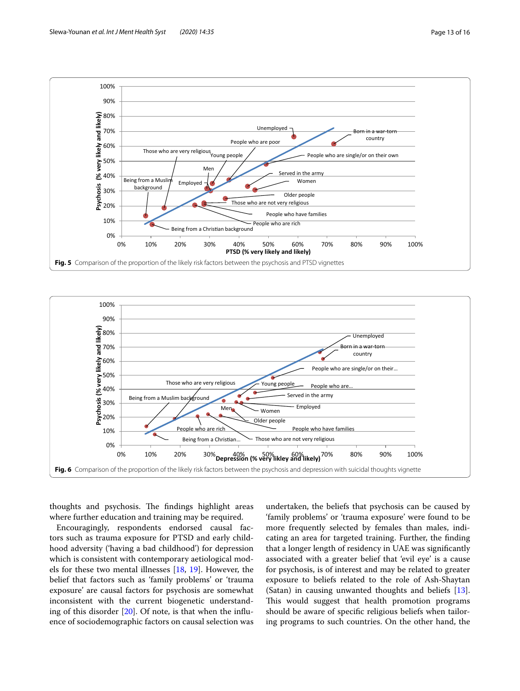

<span id="page-12-0"></span>

<span id="page-12-1"></span>thoughts and psychosis. The findings highlight areas where further education and training may be required.

Encouragingly, respondents endorsed causal factors such as trauma exposure for PTSD and early childhood adversity ('having a bad childhood') for depression which is consistent with contemporary aetiological models for these two mental illnesses [[18](#page-15-12), [19\]](#page-15-13). However, the belief that factors such as 'family problems' or 'trauma exposure' are causal factors for psychosis are somewhat inconsistent with the current biogenetic understanding of this disorder  $[20]$  $[20]$ . Of note, is that when the influence of sociodemographic factors on causal selection was undertaken, the beliefs that psychosis can be caused by 'family problems' or 'trauma exposure' were found to be more frequently selected by females than males, indicating an area for targeted training. Further, the fnding that a longer length of residency in UAE was signifcantly associated with a greater belief that 'evil eye' is a cause for psychosis, is of interest and may be related to greater exposure to beliefs related to the role of Ash-Shaytan (Satan) in causing unwanted thoughts and beliefs [\[13](#page-15-7)]. This would suggest that health promotion programs should be aware of specifc religious beliefs when tailoring programs to such countries. On the other hand, the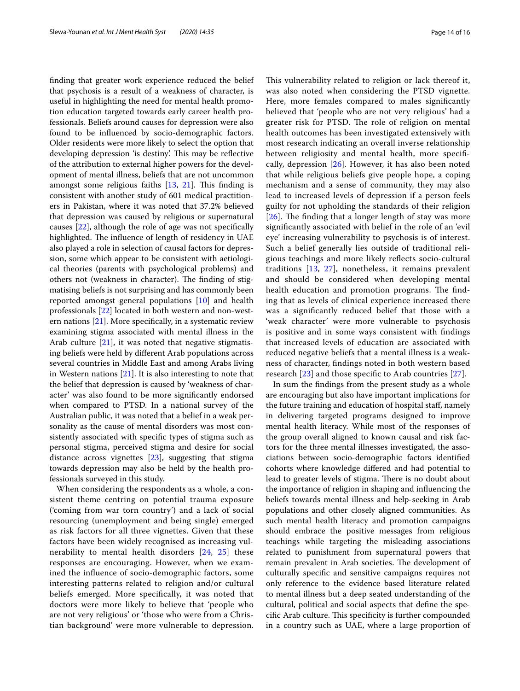fnding that greater work experience reduced the belief that psychosis is a result of a weakness of character, is useful in highlighting the need for mental health promotion education targeted towards early career health professionals. Beliefs around causes for depression were also found to be infuenced by socio-demographic factors. Older residents were more likely to select the option that developing depression 'is destiny'. This may be reflective of the attribution to external higher powers for the development of mental illness, beliefs that are not uncommon amongst some religious faiths  $[13, 21]$  $[13, 21]$  $[13, 21]$ . This finding is consistent with another study of 601 medical practitioners in Pakistan, where it was noted that 37.2% believed that depression was caused by religious or supernatural causes [\[22](#page-15-16)], although the role of age was not specifcally highlighted. The influence of length of residency in UAE also played a role in selection of causal factors for depression, some which appear to be consistent with aetiological theories (parents with psychological problems) and others not (weakness in character). The finding of stigmatising beliefs is not surprising and has commonly been reported amongst general populations [\[10](#page-15-4)] and health professionals [[22\]](#page-15-16) located in both western and non-western nations [[21\]](#page-15-15). More specifcally, in a systematic review examining stigma associated with mental illness in the Arab culture [[21\]](#page-15-15), it was noted that negative stigmatising beliefs were held by diferent Arab populations across several countries in Middle East and among Arabs living in Western nations  $[21]$  $[21]$ . It is also interesting to note that the belief that depression is caused by 'weakness of character' was also found to be more signifcantly endorsed when compared to PTSD. In a national survey of the Australian public, it was noted that a belief in a weak personality as the cause of mental disorders was most consistently associated with specifc types of stigma such as personal stigma, perceived stigma and desire for social distance across vignettes [\[23](#page-15-17)], suggesting that stigma towards depression may also be held by the health professionals surveyed in this study.

When considering the respondents as a whole, a consistent theme centring on potential trauma exposure ('coming from war torn country') and a lack of social resourcing (unemployment and being single) emerged as risk factors for all three vignettes. Given that these factors have been widely recognised as increasing vulnerability to mental health disorders [\[24,](#page-15-18) [25\]](#page-15-19) these responses are encouraging. However, when we examined the infuence of socio-demographic factors, some interesting patterns related to religion and/or cultural beliefs emerged. More specifcally, it was noted that doctors were more likely to believe that 'people who are not very religious' or 'those who were from a Christian background' were more vulnerable to depression. This vulnerability related to religion or lack thereof it, was also noted when considering the PTSD vignette. Here, more females compared to males signifcantly believed that 'people who are not very religious' had a greater risk for PTSD. The role of religion on mental health outcomes has been investigated extensively with most research indicating an overall inverse relationship between religiosity and mental health, more specifcally, depression [\[26\]](#page-15-20). However, it has also been noted that while religious beliefs give people hope, a coping mechanism and a sense of community, they may also lead to increased levels of depression if a person feels guilty for not upholding the standards of their religion  $[26]$  $[26]$  $[26]$ . The finding that a longer length of stay was more signifcantly associated with belief in the role of an 'evil eye' increasing vulnerability to psychosis is of interest. Such a belief generally lies outside of traditional religious teachings and more likely refects socio-cultural traditions [[13](#page-15-7), [27\]](#page-15-21), nonetheless, it remains prevalent and should be considered when developing mental health education and promotion programs. The finding that as levels of clinical experience increased there was a signifcantly reduced belief that those with a 'weak character' were more vulnerable to psychosis is positive and in some ways consistent with fndings that increased levels of education are associated with reduced negative beliefs that a mental illness is a weakness of character, fndings noted in both western based research [\[23](#page-15-17)] and those specifc to Arab countries [[27](#page-15-21)].

In sum the fndings from the present study as a whole are encouraging but also have important implications for the future training and education of hospital staf, namely in delivering targeted programs designed to improve mental health literacy. While most of the responses of the group overall aligned to known causal and risk factors for the three mental illnesses investigated, the associations between socio-demographic factors identifed cohorts where knowledge difered and had potential to lead to greater levels of stigma. There is no doubt about the importance of religion in shaping and infuencing the beliefs towards mental illness and help-seeking in Arab populations and other closely aligned communities. As such mental health literacy and promotion campaigns should embrace the positive messages from religious teachings while targeting the misleading associations related to punishment from supernatural powers that remain prevalent in Arab societies. The development of culturally specifc and sensitive campaigns requires not only reference to the evidence based literature related to mental illness but a deep seated understanding of the cultural, political and social aspects that defne the specific Arab culture. This specificity is further compounded in a country such as UAE, where a large proportion of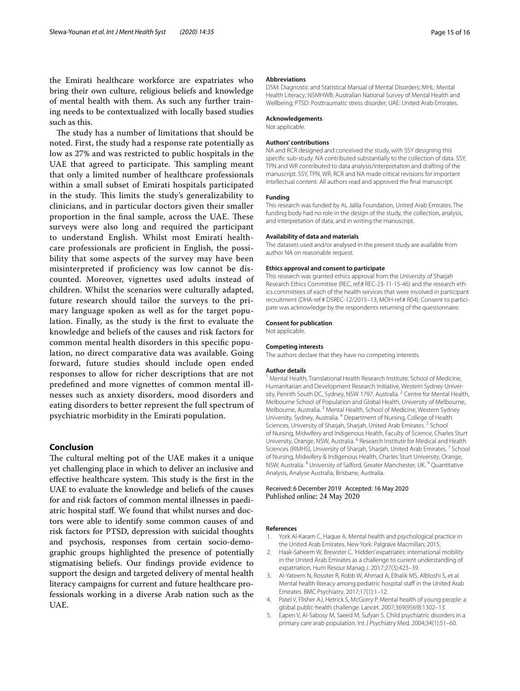the Emirati healthcare workforce are expatriates who bring their own culture, religious beliefs and knowledge of mental health with them. As such any further training needs to be contextualized with locally based studies such as this.

The study has a number of limitations that should be noted. First, the study had a response rate potentially as low as 27% and was restricted to public hospitals in the UAE that agreed to participate. This sampling meant that only a limited number of healthcare professionals within a small subset of Emirati hospitals participated in the study. This limits the study's generalizability to clinicians, and in particular doctors given their smaller proportion in the final sample, across the UAE. These surveys were also long and required the participant to understand English. Whilst most Emirati healthcare professionals are profcient in English, the possibility that some aspects of the survey may have been misinterpreted if profciency was low cannot be discounted. Moreover, vignettes used adults instead of children. Whilst the scenarios were culturally adapted, future research should tailor the surveys to the primary language spoken as well as for the target population. Finally, as the study is the frst to evaluate the knowledge and beliefs of the causes and risk factors for common mental health disorders in this specifc population, no direct comparative data was available. Going forward, future studies should include open ended responses to allow for richer descriptions that are not predefned and more vignettes of common mental illnesses such as anxiety disorders, mood disorders and eating disorders to better represent the full spectrum of psychiatric morbidity in the Emirati population.

# **Conclusion**

The cultural melting pot of the UAE makes it a unique yet challenging place in which to deliver an inclusive and effective healthcare system. This study is the first in the UAE to evaluate the knowledge and beliefs of the causes for and risk factors of common mental illnesses in paediatric hospital staf. We found that whilst nurses and doctors were able to identify some common causes of and risk factors for PTSD, depression with suicidal thoughts and psychosis, responses from certain socio-demographic groups highlighted the presence of potentially stigmatising beliefs. Our fndings provide evidence to support the design and targeted delivery of mental health literacy campaigns for current and future healthcare professionals working in a diverse Arab nation such as the UAE.

#### **Abbreviations**

DSM: Diagnostic and Statistical Manual of Mental Disorders; MHL: Mental Health Literacy; NSMHWB: Australian National Survey of Mental Health and Wellbeing; PTSD: Posttraumatic stress disorder; UAE: United Arab Emirates.

# **Acknowledgements**

Not applicable.

#### **Authors' contributions**

NA and RCR designed and conceived the study, with SSY designing this specifc sub-study. NA contributed substantially to the collection of data. SSY, TPN and WR contributed to data analysis/interpretation and drafting of the manuscript. SSY, TPN, WR, RCR and NA made critical revisions for important intellectual content. All authors read and approved the fnal manuscript.

#### **Funding**

This research was funded by AL Jalila Foundation, United Arab Emirates. The funding body had no role in the design of the study, the collection, analysis, and interpretation of data, and in writing the manuscript.

#### **Availability of data and materials**

The datasets used and/or analysed in the present study are available from author NA on reasonable request.

#### **Ethics approval and consent to participate**

This research was granted ethics approval from the University of Sharjah Research Ethics Committee (REC, ref.# REC-23-11-15-46) and the research ethics committees of each of the health services that were involved in participant recruitment (DHA-ref.# DSREC-12/2015-13; MOH-ref.# R04). Consent to participate was acknowledge by the respondents returning of the questionnaire.

#### **Consent for publication**

Not applicable.

#### **Competing interests**

The authors declare that they have no competing interests.

#### **Author details**

<sup>1</sup> Mental Health, Translational Health Research Institute, School of Medicine, Humanitarian and Development Research Initiative, Western Sydney University, Penrith South DC, Sydney, NSW 1797, Australia.<sup>2</sup> Centre for Mental Health, Melbourne School of Population and Global Health, University of Melbourne, Melbourne, Australia. 3 Mental Health, School of Medicine, Western Sydney University, Sydney, Australia. 4 Department of Nursing, College of Health Sciences, University of Sharjah, Sharjah, United Arab Emirates.<sup>5</sup> School of Nursing, Midwifery and Indigenous Health, Faculty of Science, Charles Sturt University, Orange, NSW, Australia. 6 Research Institute for Medical and Health Sciences (RIMHS), University of Sharjah, Sharjah, United Arab Emirates.<sup>7</sup> School of Nursing, Midwifery & Indigenous Health, Charles Sturt University, Orange, NSW, Australia. 8 University of Salford, Greater Manchester, UK. 9 Quantitative Analysis, Analyse Australia, Brisbane, Australia.

# Received: 6 December 2019 Accepted: 16 May 2020 Published online: 24 May 2020

### **References**

- <span id="page-14-0"></span>1. York Al-Karam C, Haque A. Mental health and psychological practice in the United Arab Emirates. New York: Palgrave Macmillan; 2015.
- <span id="page-14-1"></span>2. Haak-Saheem W, Brewster C. *'*Hidden' expatriates: international mobility in the United Arab Emirates as a challenge to current understanding of expatriation. Hum Resour Manag J. 2017;27(3):423–39.
- <span id="page-14-2"></span>3. Al-Yateem N, Rossiter R, Robb W, Ahmad A, Elhalik MS, Albloshi S, et al. Mental health literacy among pediatric hospital staff in the United Arab Emirates. BMC Psychiatry. 2017;17(1):1–12.
- <span id="page-14-3"></span>4. Patel V, Flisher AJ, Hetrick S, McGorry P. Mental health of young people: a global public-health challenge. Lancet. 2007;369(9569):1302–13.
- <span id="page-14-4"></span>5. Eapen V, Ai-Sabosy M, Saeed M, Sufyan S. Child psychiatric disorders in a primary care arab population. Int J Psychiatry Med. 2004;34(1):51–60.